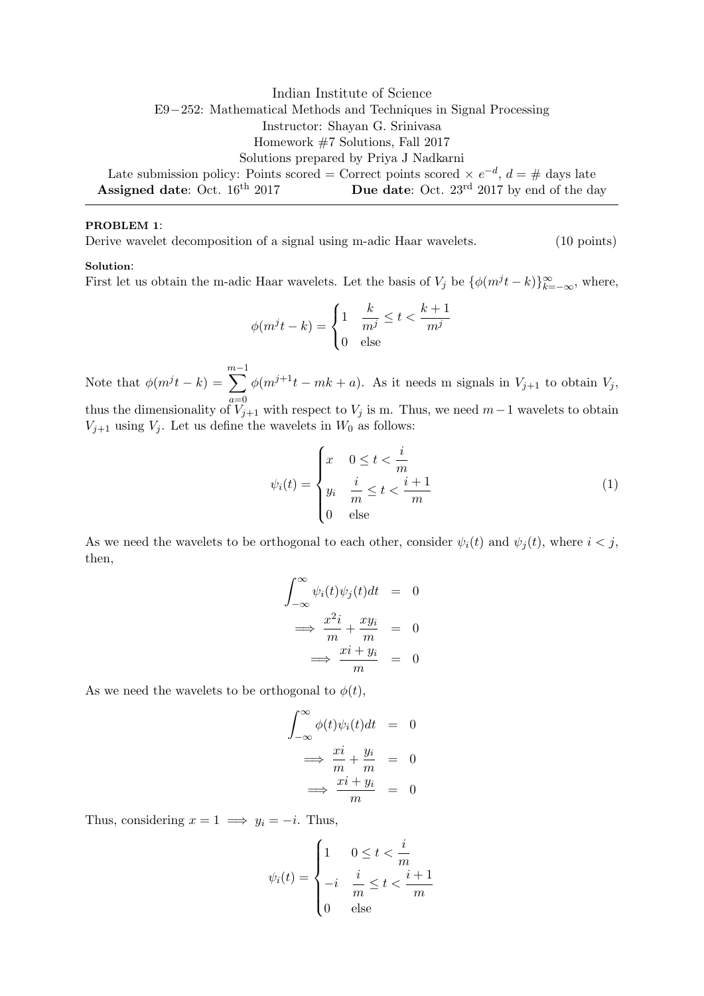Indian Institute of Science E9−252: Mathematical Methods and Techniques in Signal Processing Instructor: Shayan G. Srinivasa Homework #7 Solutions, Fall 2017 Solutions prepared by Priya J Nadkarni Late submission policy: Points scored = Correct points scored  $\times e^{-d}$ ,  $d = \#$  days late Assigned date: Oct. 16<sup>th</sup> 2017 **Due date:** Oct. 23<sup>rd</sup> 2017 by end of the day

# PROBLEM 1:

Derive wavelet decomposition of a signal using m-adic Haar wavelets. (10 points)

### Solution:

First let us obtain the m-adic Haar wavelets. Let the basis of  $V_j$  be  $\{\phi(m^jt - k)\}_{k=-\infty}^{\infty}$ , where,

$$
\phi(m^j t - k) = \begin{cases} 1 & \frac{k}{m^j} \le t < \frac{k+1}{m^j} \\ 0 & \text{else} \end{cases}
$$

Note that  $\phi(m^j t - k) =$  $\sum^{m-1}$  $a=0$  $\phi(m^{j+1}t - mk + a)$ . As it needs m signals in  $V_{j+1}$  to obtain  $V_j$ , thus the dimensionality of  $V_{j+1}$  with respect to  $V_j$  is m. Thus, we need  $m-1$  wavelets to obtain  $V_{j+1}$  using  $V_j$ . Let us define the wavelets in  $W_0$  as follows:

$$
\psi_i(t) = \begin{cases} x & 0 \le t < \frac{i}{m} \\ y_i & \frac{i}{m} \le t < \frac{i+1}{m} \\ 0 & \text{else} \end{cases} \tag{1}
$$

As we need the wavelets to be orthogonal to each other, consider  $\psi_i(t)$  and  $\psi_j(t)$ , where  $i < j$ , then,

$$
\int_{-\infty}^{\infty} \psi_i(t)\psi_j(t)dt = 0
$$

$$
\implies \frac{x^2i}{m} + \frac{xy_i}{m} = 0
$$

$$
\implies \frac{xi + y_i}{m} = 0
$$

As we need the wavelets to be orthogonal to  $\phi(t)$ ,

$$
\int_{-\infty}^{\infty} \phi(t)\psi_i(t)dt = 0
$$
  
\n
$$
\implies \frac{x i}{m} + \frac{y_i}{m} = 0
$$
  
\n
$$
\implies \frac{x i + y_i}{m} = 0
$$

Thus, considering  $x = 1 \implies y_i = -i$ . Thus,

$$
\psi_i(t) = \begin{cases} 1 & 0 \le t < \frac{i}{m} \\ -i & \frac{i}{m} \le t < \frac{i+1}{m} \\ 0 & \text{else} \end{cases}
$$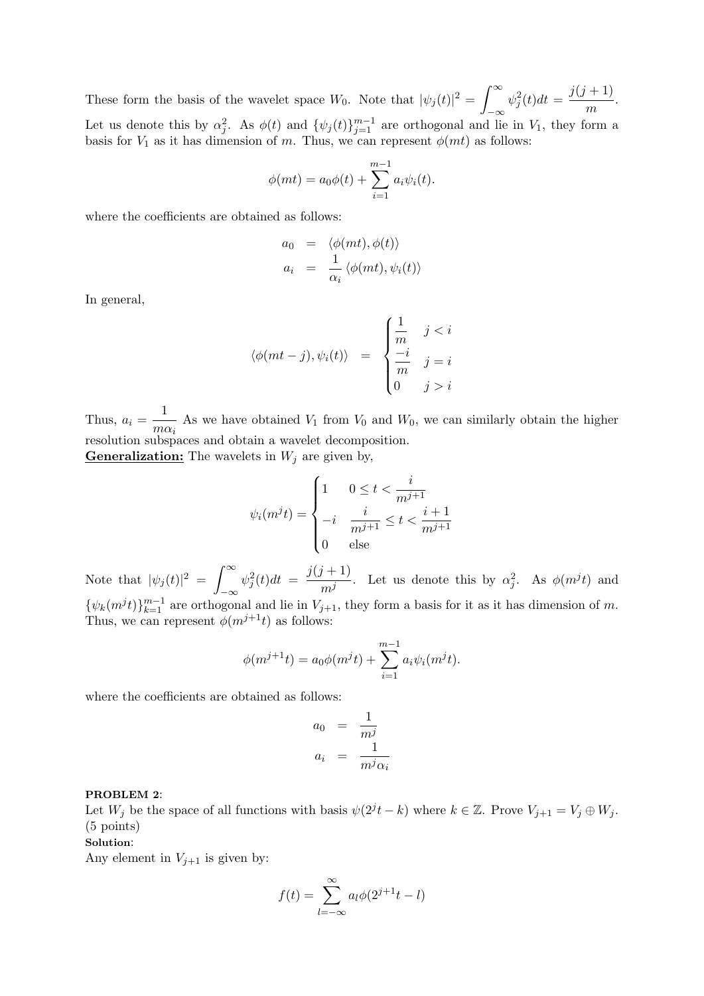These form the basis of the wavelet space  $W_0$ . Note that  $|\psi_j(t)|^2 = \int_{-\infty}^{\infty}$  $-\infty$  $\psi_j^2(t)dt = \frac{j(j+1)}{m}$  $\frac{1}{m}$ . Let us denote this by  $\alpha_j^2$ . As  $\phi(t)$  and  $\{\psi_j(t)\}_{j=1}^{m-1}$  are orthogonal and lie in  $V_1$ , they form a basis for  $V_1$  as it has dimension of m. Thus, we can represent  $\phi(mt)$  as follows:

$$
\phi(mt) = a_0 \phi(t) + \sum_{i=1}^{m-1} a_i \psi_i(t).
$$

where the coefficients are obtained as follows:

$$
a_0 = \langle \phi(mt), \phi(t) \rangle
$$
  
\n
$$
a_i = \frac{1}{\alpha_i} \langle \phi(mt), \psi_i(t) \rangle
$$

In general,

$$
\langle \phi(mt - j), \psi_i(t) \rangle = \begin{cases} \frac{1}{m} & j < i \\ \frac{-i}{m} & j = i \\ 0 & j > i \end{cases}
$$

Thus,  $a_i = \frac{1}{\sqrt{2}}$  $\frac{1}{m\alpha_i}$  As we have obtained  $V_1$  from  $V_0$  and  $W_0$ , we can similarly obtain the higher resolution subspaces and obtain a wavelet decomposition.

**Generalization:** The wavelets in  $W_j$  are given by,

$$
\psi_i(m^jt) = \begin{cases} 1 & 0 \le t < \frac{i}{m^{j+1}} \\ -i & \frac{i}{m^{j+1}} \le t < \frac{i+1}{m^{j+1}} \\ 0 & \text{else} \end{cases}
$$

Note that  $|\psi_j(t)|^2 = \int_{-\infty}^{\infty}$  $-\infty$  $\psi_j^2(t)dt = \frac{j(j+1)}{m^j}$  $\frac{m^j}{m^j}$ . Let us denote this by  $\alpha_j^2$ . As  $\phi(m^j t)$  and  $\{\psi_k(m^jt)\}_{k=1}^{m-1}$  are orthogonal and lie in  $V_{j+1}$ , they form a basis for it as it has dimension of m. Thus, we can represent  $\phi(m^{j+1}t)$  as follows:

$$
\phi(m^{j+1}t) = a_0 \phi(m^j t) + \sum_{i=1}^{m-1} a_i \psi_i(m^j t).
$$

where the coefficients are obtained as follows:

$$
a_0 = \frac{1}{m^j}
$$
  

$$
a_i = \frac{1}{m^j \alpha_i}
$$

# PROBLEM 2:

Let  $W_j$  be the space of all functions with basis  $\psi(2^j t - k)$  where  $k \in \mathbb{Z}$ . Prove  $V_{j+1} = V_j \oplus W_j$ . (5 points)

### Solution:

Any element in  $V_{j+1}$  is given by:

$$
f(t) = \sum_{l = -\infty}^{\infty} a_l \phi(2^{j+1}t - l)
$$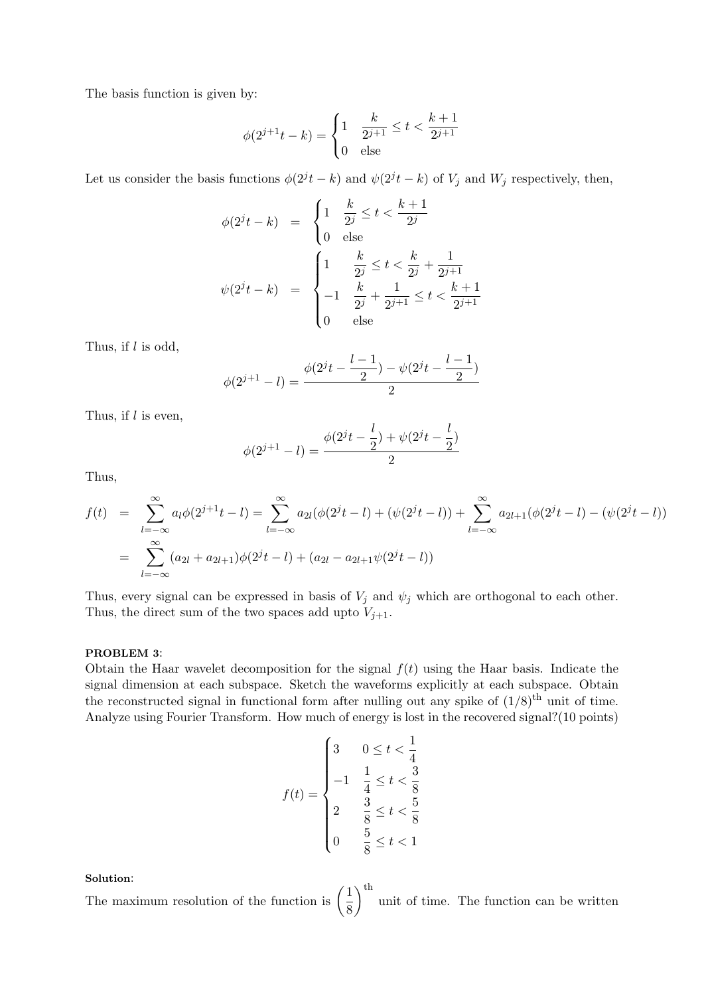The basis function is given by:

$$
\phi(2^{j+1}t - k) = \begin{cases} 1 & \frac{k}{2^{j+1}} \le t < \frac{k+1}{2^{j+1}} \\ 0 & \text{else} \end{cases}
$$

Let us consider the basis functions  $\phi(2^{j}t - k)$  and  $\psi(2^{j}t - k)$  of  $V_j$  and  $W_j$  respectively, then,

$$
\phi(2^{j}t - k) = \begin{cases} 1 & \frac{k}{2^{j}} \leq t < \frac{k+1}{2^{j}} \\ 0 & \text{else} \end{cases}
$$

$$
\psi(2^{j}t - k) = \begin{cases} 1 & \frac{k}{2^{j}} \leq t < \frac{k}{2^{j}} + \frac{1}{2^{j+1}} \\ -1 & \frac{k}{2^{j}} + \frac{1}{2^{j+1}} \leq t < \frac{k+1}{2^{j+1}} \\ 0 & \text{else} \end{cases}
$$

Thus, if  $l$  is odd,

$$
\phi(2^{j+1} - l) = \frac{\phi(2^{j}t - \frac{l-1}{2}) - \psi(2^{j}t - \frac{l-1}{2})}{2}
$$

Thus, if  $l$  is even,

$$
\phi(2^{j+1} - l) = \frac{\phi(2^{j}t - \frac{l}{2}) + \psi(2^{j}t - \frac{l}{2})}{2}
$$

Thus,

$$
f(t) = \sum_{l=-\infty}^{\infty} a_l \phi(2^{j+1}t - l) = \sum_{l=-\infty}^{\infty} a_{2l} (\phi(2^{j}t - l) + (\psi(2^{j}t - l)) + \sum_{l=-\infty}^{\infty} a_{2l+1} (\phi(2^{j}t - l) - (\psi(2^{j}t - l))
$$
  
= 
$$
\sum_{l=-\infty}^{\infty} (a_{2l} + a_{2l+1}) \phi(2^{j}t - l) + (a_{2l} - a_{2l+1} \psi(2^{j}t - l))
$$

Thus, every signal can be expressed in basis of  $V_j$  and  $\psi_j$  which are orthogonal to each other. Thus, the direct sum of the two spaces add upto  $V_{j+1}$ .

### PROBLEM 3:

Obtain the Haar wavelet decomposition for the signal  $f(t)$  using the Haar basis. Indicate the signal dimension at each subspace. Sketch the waveforms explicitly at each subspace. Obtain the reconstructed signal in functional form after nulling out any spike of  $(1/8)^{\text{th}}$  unit of time. Analyze using Fourier Transform. How much of energy is lost in the recovered signal?(10 points)

$$
f(t) = \begin{cases} 3 & 0 \le t < \frac{1}{4} \\ -1 & \frac{1}{4} \le t < \frac{3}{8} \\ 2 & \frac{3}{8} \le t < \frac{5}{8} \\ 0 & \frac{5}{8} \le t < 1 \end{cases}
$$

Solution:

The maximum resolution of the function is  $\left(\frac{1}{2}\right)$ 8  $\int_{0}^{\text{th}}$  unit of time. The function can be written